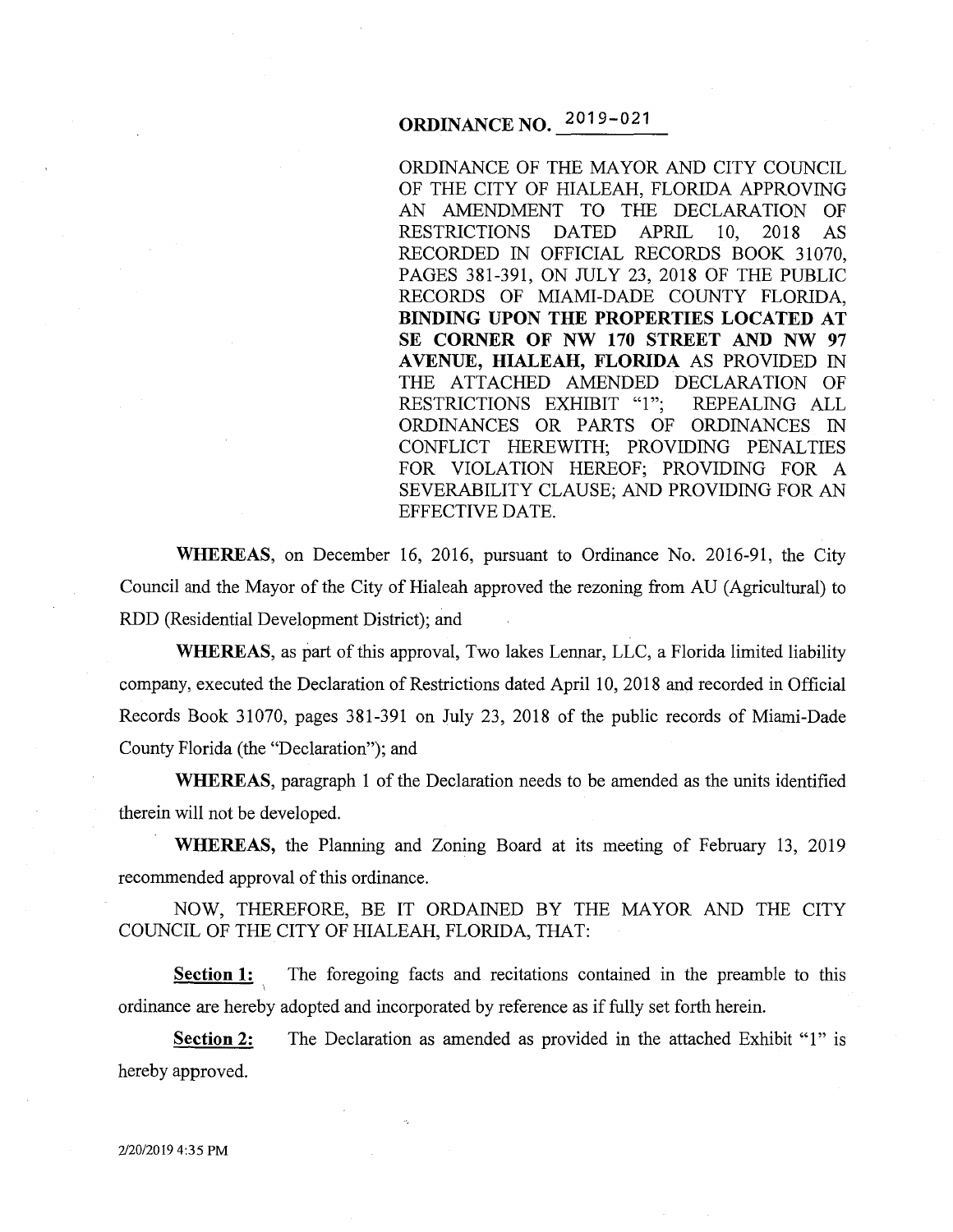# **ORDINANCE NO.** 2019-021

ORDINANCE OF THE MAYOR AND CITY COUNCIL OF THE CITY OF HIALEAH, FLORIDA APPROVING AN AMENDMENT TO THE DECLARATION OF RESTRICTIONS DATED APRIL 10, 2018 AS RECORDED IN OFFICIAL RECORDS BOOK 31070, PAGES 381-391, ON JULY 23, 2018 OF THE PUBLIC RECORDS OF MIAMI-DADE COUNTY FLORIDA, **BINDING UPON THE PROPERTIES LOCATED AT SE CORNER OF NW 170 STREET AND NW 97 A VENUE, HIALEAH, FLORIDA** AS PROVIDED IN THE ATTACHED AMENDED DECLARATION OF RESTRICTIONS EXHIBIT "1"; REPEALING ALL ORDINANCES OR PARTS OF ORDINANCES IN CONFLICT HEREWITH; PROVIDING PENALTIES FOR VIOLATION HEREOF; PROVIDING FOR A SEVERABILITY CLAUSE; AND PROVIDING FOR AN EFFECTIVE DATE.

**WHEREAS,** on December 16, 2016, pursuant to Ordinance No. 2016-91, the City Council and the Mayor of the City of Hialeah approved the rezoning from AU (Agricultural) to RDD (Residential Development District); and

**WHEREAS,** as part of this approval, Two lakes Lennar, LLC, a Florida limited liability company, executed the Declaration of Restrictions dated April 10, 2018 and recorded in Official Records Book 31070, pages 381-391 on July 23, 2018 of the public records of Miami-Dade County Florida (the "Declaration"); and

**WHEREAS,** paragraph 1 of the Declaration needs to be amended as the units identified therein will not be developed.

**WHEREAS,** the Planning and Zoning Board at its meeting of February 13, 2019 recommended approval of this ordinance.

NOW, THEREFORE, BE IT ORDAINED BY THE MAYOR AND THE CITY COUNCIL OF THE CITY OF HIALEAH, FLORIDA, THAT:

**Section 1:** The foregoing facts and recitations contained in the preamble to this ordinance are hereby adopted and incorporated by reference as if fully set forth herein.

**Section 2:**  hereby approved. The Declaration as amended as provided in the attached Exhibit "1" is